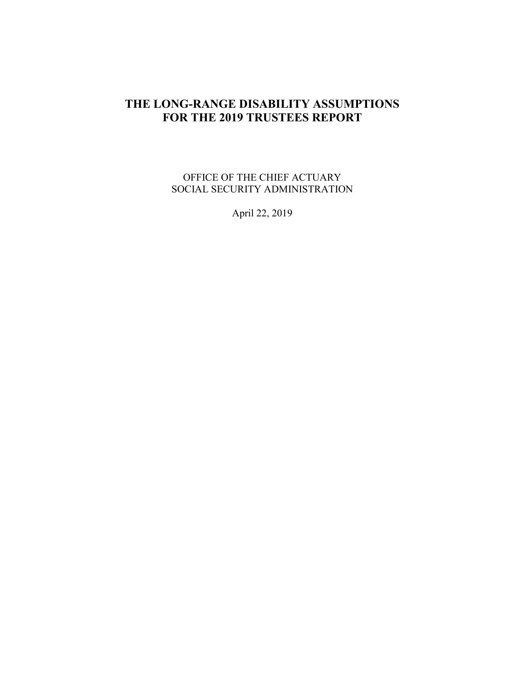## **THE LONG-RANGE DISABILITY ASSUMPTIONS FOR THE 2019 TRUSTEES REPORT**

OFFICE OF THE CHIEF ACTUARY SOCIAL SECURITY ADMINISTRATION

April 22, 2019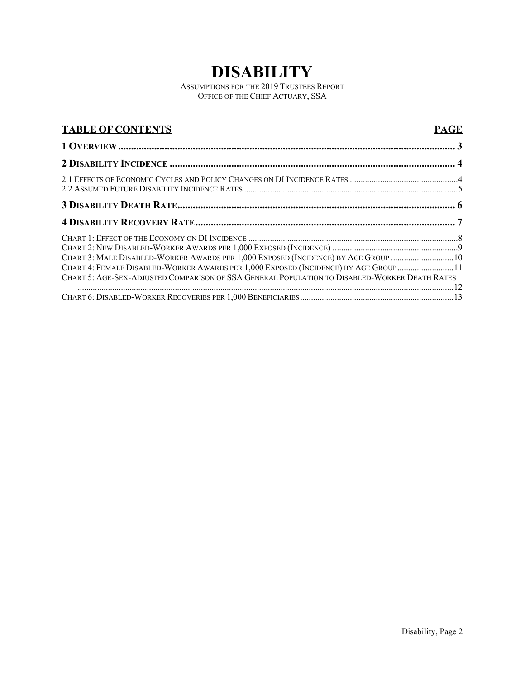# **DISABILITY**

ASSUMPTIONS FOR THE 2019 TRUSTEES REPORT OFFICE OF THE CHIEF ACTUARY, SSA

<span id="page-1-0"></span>

| <b>TABLE OF CONTENTS</b>                                                                                                                                                                                                                                                    | <b>PAGE</b> |
|-----------------------------------------------------------------------------------------------------------------------------------------------------------------------------------------------------------------------------------------------------------------------------|-------------|
|                                                                                                                                                                                                                                                                             |             |
|                                                                                                                                                                                                                                                                             |             |
|                                                                                                                                                                                                                                                                             |             |
|                                                                                                                                                                                                                                                                             |             |
|                                                                                                                                                                                                                                                                             |             |
| CHART 3: MALE DISABLED-WORKER AWARDS PER 1,000 EXPOSED (INCIDENCE) BY AGE GROUP 10<br>CHART 4: FEMALE DISABLED-WORKER AWARDS PER 1,000 EXPOSED (INCIDENCE) BY AGE GROUP 11<br>CHART 5: AGE-SEX-ADJUSTED COMPARISON OF SSA GENERAL POPULATION TO DISABLED-WORKER DEATH RATES |             |
|                                                                                                                                                                                                                                                                             |             |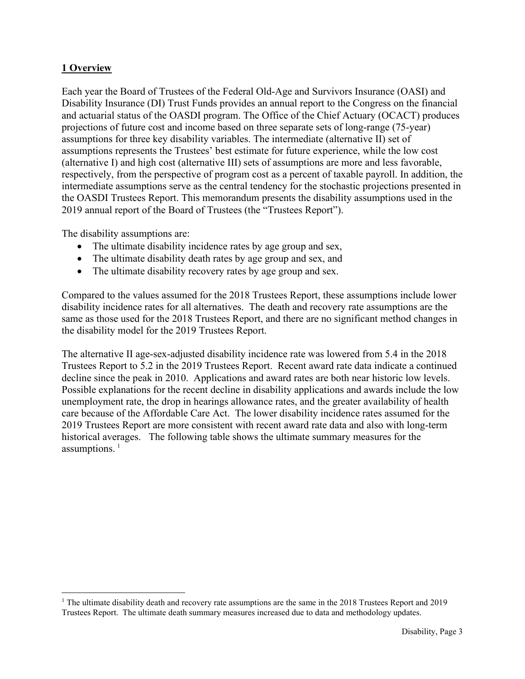#### **1 Overview**

Each year the Board of Trustees of the Federal Old-Age and Survivors Insurance (OASI) and Disability Insurance (DI) Trust Funds provides an annual report to the Congress on the financial and actuarial status of the OASDI program. The Office of the Chief Actuary (OCACT) produces projections of future cost and income based on three separate sets of long-range (75-year) assumptions for three key disability variables. The intermediate (alternative II) set of assumptions represents the Trustees' best estimate for future experience, while the low cost (alternative I) and high cost (alternative III) sets of assumptions are more and less favorable, respectively, from the perspective of program cost as a percent of taxable payroll. In addition, the intermediate assumptions serve as the central tendency for the stochastic projections presented in the OASDI Trustees Report. This memorandum presents the disability assumptions used in the 2019 annual report of the Board of Trustees (the "Trustees Report").

The disability assumptions are:

- The ultimate disability incidence rates by age group and sex,
- The ultimate disability death rates by age group and sex, and
- The ultimate disability recovery rates by age group and sex.

Compared to the values assumed for the 2018 Trustees Report, these assumptions include lower disability incidence rates for all alternatives. The death and recovery rate assumptions are the same as those used for the 2018 Trustees Report, and there are no significant method changes in the disability model for the 2019 Trustees Report.

The alternative II age-sex-adjusted disability incidence rate was lowered from 5.4 in the 2018 Trustees Report to 5.2 in the 2019 Trustees Report. Recent award rate data indicate a continued decline since the peak in 2010. Applications and award rates are both near historic low levels. Possible explanations for the recent decline in disability applications and awards include the low unemployment rate, the drop in hearings allowance rates, and the greater availability of health care because of the Affordable Care Act. The lower disability incidence rates assumed for the 2019 Trustees Report are more consistent with recent award rate data and also with long-term historical averages. The following table shows the ultimate summary measures for the assumptions. $<sup>1</sup>$  $<sup>1</sup>$  $<sup>1</sup>$ </sup>

<span id="page-2-0"></span><sup>&</sup>lt;sup>1</sup> The ultimate disability death and recovery rate assumptions are the same in the 2018 Trustees Report and 2019 Trustees Report. The ultimate death summary measures increased due to data and methodology updates.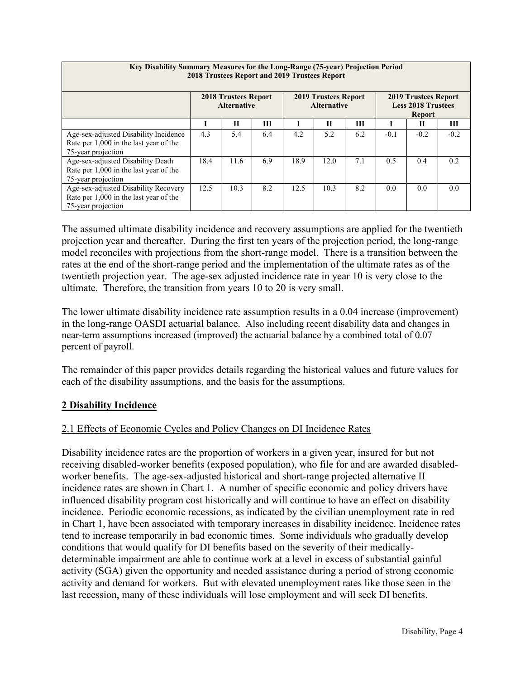| Key Disability Summary Measures for the Long-Range (75-year) Projection Period<br>2018 Trustees Report and 2019 Trustees Report |                                                   |              |     |                                                   |      |     |                                                                           |        |        |  |
|---------------------------------------------------------------------------------------------------------------------------------|---------------------------------------------------|--------------|-----|---------------------------------------------------|------|-----|---------------------------------------------------------------------------|--------|--------|--|
|                                                                                                                                 | <b>2018 Trustees Report</b><br><b>Alternative</b> |              |     | <b>2019 Trustees Report</b><br><b>Alternative</b> |      |     | <b>2019 Trustees Report</b><br><b>Less 2018 Trustees</b><br><b>Report</b> |        |        |  |
|                                                                                                                                 |                                                   | $\mathbf{H}$ | Ш   |                                                   | П    | Ш   |                                                                           | П      | Ш      |  |
| Age-sex-adjusted Disability Incidence<br>Rate per 1,000 in the last year of the<br>75-year projection                           | 4.3                                               | 5.4          | 6.4 | 4.2                                               | 5.2  | 6.2 | $-0.1$                                                                    | $-0.2$ | $-0.2$ |  |
| Age-sex-adjusted Disability Death<br>Rate per 1,000 in the last year of the<br>75-year projection                               | 18.4                                              | 11.6         | 6.9 | 18.9                                              | 12.0 | 7.1 | 0.5                                                                       | 0.4    | 0.2    |  |
| Age-sex-adjusted Disability Recovery<br>Rate per 1,000 in the last year of the<br>75-year projection                            | 12.5                                              | 10.3         | 8.2 | 12.5                                              | 10.3 | 8.2 | 0.0                                                                       | 0.0    | 0.0    |  |

The assumed ultimate disability incidence and recovery assumptions are applied for the twentieth projection year and thereafter. During the first ten years of the projection period, the long-range model reconciles with projections from the short-range model. There is a transition between the rates at the end of the short-range period and the implementation of the ultimate rates as of the twentieth projection year. The age-sex adjusted incidence rate in year 10 is very close to the ultimate. Therefore, the transition from years 10 to 20 is very small.

The lower ultimate disability incidence rate assumption results in a 0.04 increase (improvement) in the long-range OASDI actuarial balance. Also including recent disability data and changes in near-term assumptions increased (improved) the actuarial balance by a combined total of 0.07 percent of payroll.

The remainder of this paper provides details regarding the historical values and future values for each of the disability assumptions, and the basis for the assumptions.

### <span id="page-3-0"></span>**2 Disability Incidence**

#### <span id="page-3-1"></span>2.1 Effects of Economic Cycles and Policy Changes on DI Incidence Rates

Disability incidence rates are the proportion of workers in a given year, insured for but not receiving disabled-worker benefits (exposed population), who file for and are awarded disabledworker benefits. The age-sex-adjusted historical and short-range projected alternative II incidence rates are shown in Chart 1. A number of specific economic and policy drivers have influenced disability program cost historically and will continue to have an effect on disability incidence. Periodic economic recessions, as indicated by the civilian unemployment rate in red in Chart 1, have been associated with temporary increases in disability incidence. Incidence rates tend to increase temporarily in bad economic times. Some individuals who gradually develop conditions that would qualify for DI benefits based on the severity of their medicallydeterminable impairment are able to continue work at a level in excess of substantial gainful activity (SGA) given the opportunity and needed assistance during a period of strong economic activity and demand for workers. But with elevated unemployment rates like those seen in the last recession, many of these individuals will lose employment and will seek DI benefits.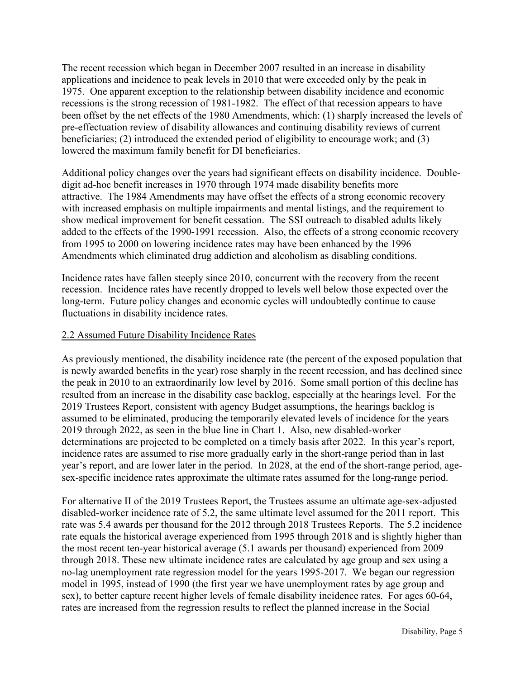The recent recession which began in December 2007 resulted in an increase in disability applications and incidence to peak levels in 2010 that were exceeded only by the peak in 1975. One apparent exception to the relationship between disability incidence and economic recessions is the strong recession of 1981-1982. The effect of that recession appears to have been offset by the net effects of the 1980 Amendments, which: (1) sharply increased the levels of pre-effectuation review of disability allowances and continuing disability reviews of current beneficiaries; (2) introduced the extended period of eligibility to encourage work; and (3) lowered the maximum family benefit for DI beneficiaries.

Additional policy changes over the years had significant effects on disability incidence. Doubledigit ad-hoc benefit increases in 1970 through 1974 made disability benefits more attractive. The 1984 Amendments may have offset the effects of a strong economic recovery with increased emphasis on multiple impairments and mental listings, and the requirement to show medical improvement for benefit cessation. The SSI outreach to disabled adults likely added to the effects of the 1990-1991 recession. Also, the effects of a strong economic recovery from 1995 to 2000 on lowering incidence rates may have been enhanced by the 1996 Amendments which eliminated drug addiction and alcoholism as disabling conditions.

Incidence rates have fallen steeply since 2010, concurrent with the recovery from the recent recession. Incidence rates have recently dropped to levels well below those expected over the long-term. Future policy changes and economic cycles will undoubtedly continue to cause fluctuations in disability incidence rates.

#### <span id="page-4-0"></span>2.2 Assumed Future Disability Incidence Rates

As previously mentioned, the disability incidence rate (the percent of the exposed population that is newly awarded benefits in the year) rose sharply in the recent recession, and has declined since the peak in 2010 to an extraordinarily low level by 2016. Some small portion of this decline has resulted from an increase in the disability case backlog, especially at the hearings level. For the 2019 Trustees Report, consistent with agency Budget assumptions, the hearings backlog is assumed to be eliminated, producing the temporarily elevated levels of incidence for the years 2019 through 2022, as seen in the blue line in Chart 1. Also, new disabled-worker determinations are projected to be completed on a timely basis after 2022. In this year's report, incidence rates are assumed to rise more gradually early in the short-range period than in last year's report, and are lower later in the period. In 2028, at the end of the short-range period, agesex-specific incidence rates approximate the ultimate rates assumed for the long-range period.

For alternative II of the 2019 Trustees Report, the Trustees assume an ultimate age-sex-adjusted disabled-worker incidence rate of 5.2, the same ultimate level assumed for the 2011 report. This rate was 5.4 awards per thousand for the 2012 through 2018 Trustees Reports. The 5.2 incidence rate equals the historical average experienced from 1995 through 2018 and is slightly higher than the most recent ten-year historical average (5.1 awards per thousand) experienced from 2009 through 2018. These new ultimate incidence rates are calculated by age group and sex using a no-lag unemployment rate regression model for the years 1995-2017. We began our regression model in 1995, instead of 1990 (the first year we have unemployment rates by age group and sex), to better capture recent higher levels of female disability incidence rates. For ages 60-64, rates are increased from the regression results to reflect the planned increase in the Social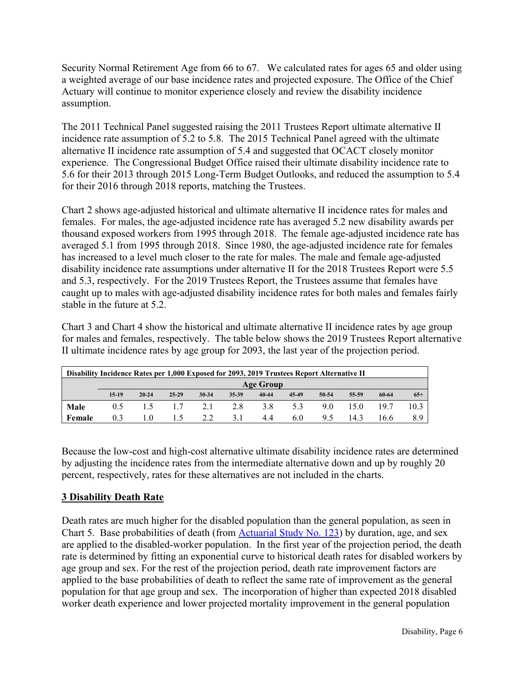Security Normal Retirement Age from 66 to 67. We calculated rates for ages 65 and older using a weighted average of our base incidence rates and projected exposure. The Office of the Chief Actuary will continue to monitor experience closely and review the disability incidence assumption.

The 2011 Technical Panel suggested raising the 2011 Trustees Report ultimate alternative II incidence rate assumption of 5.2 to 5.8. The 2015 Technical Panel agreed with the ultimate alternative II incidence rate assumption of 5.4 and suggested that OCACT closely monitor experience. The Congressional Budget Office raised their ultimate disability incidence rate to 5.6 for their 2013 through 2015 Long-Term Budget Outlooks, and reduced the assumption to 5.4 for their 2016 through 2018 reports, matching the Trustees.

Chart 2 shows age-adjusted historical and ultimate alternative II incidence rates for males and females. For males, the age-adjusted incidence rate has averaged 5.2 new disability awards per thousand exposed workers from 1995 through 2018. The female age-adjusted incidence rate has averaged 5.1 from 1995 through 2018. Since 1980, the age-adjusted incidence rate for females has increased to a level much closer to the rate for males. The male and female age-adjusted disability incidence rate assumptions under alternative II for the 2018 Trustees Report were 5.5 and 5.3, respectively. For the 2019 Trustees Report, the Trustees assume that females have caught up to males with age-adjusted disability incidence rates for both males and females fairly stable in the future at 5.2.

Chart 3 and Chart 4 show the historical and ultimate alternative II incidence rates by age group for males and females, respectively. The table below shows the 2019 Trustees Report alternative II ultimate incidence rates by age group for 2093, the last year of the projection period.

| Disability Incidence Rates per 1,000 Exposed for 2093, 2019 Trustees Report Alternative II |         |           |       |              |       |       |       |       |       |       |       |
|--------------------------------------------------------------------------------------------|---------|-----------|-------|--------------|-------|-------|-------|-------|-------|-------|-------|
| Age Group                                                                                  |         |           |       |              |       |       |       |       |       |       |       |
|                                                                                            | $15-19$ | $20 - 24$ | 25-29 | 30-34        | 35-39 | 40-44 | 45-49 | 50-54 | 55-59 | 60-64 | $65+$ |
| Male                                                                                       | 0.5     | 1.5       |       | $1.7 \t 2.1$ | 2.8   | 3.8   | 5.3   | 9.0   | 15 O  | 197   | 10.3  |
| Female                                                                                     | 0.3     | 1.0       | 1.5   | 2.2          | 3.1   | 4.4   | 6.0   | 9.5   | 14.3  | 16.6  | 8.9   |

Because the low-cost and high-cost alternative ultimate disability incidence rates are determined by adjusting the incidence rates from the intermediate alternative down and up by roughly 20 percent, respectively, rates for these alternatives are not included in the charts.

#### <span id="page-5-0"></span>**3 Disability Death Rate**

Death rates are much higher for the disabled population than the general population, as seen in Chart 5. Base probabilities of death (from **Actuarial Study No. 123**) by duration, age, and sex are applied to the disabled-worker population. In the first year of the projection period, the death rate is determined by fitting an exponential curve to historical death rates for disabled workers by age group and sex. For the rest of the projection period, death rate improvement factors are applied to the base probabilities of death to reflect the same rate of improvement as the general population for that age group and sex. The incorporation of higher than expected 2018 disabled worker death experience and lower projected mortality improvement in the general population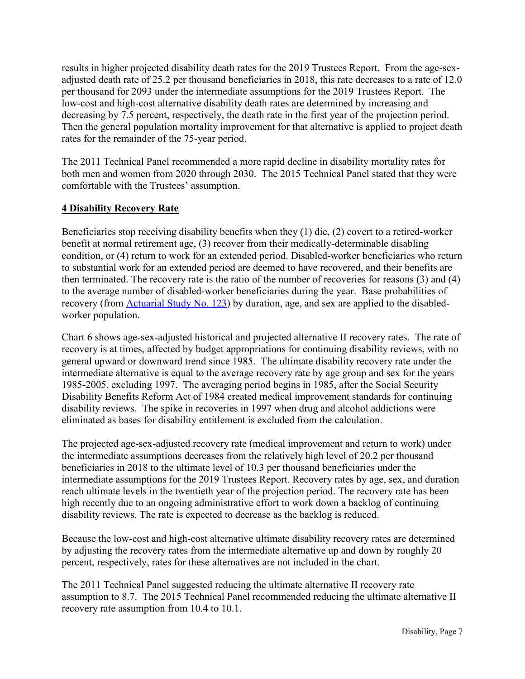results in higher projected disability death rates for the 2019 Trustees Report. From the age-sexadjusted death rate of 25.2 per thousand beneficiaries in 2018, this rate decreases to a rate of 12.0 per thousand for 2093 under the intermediate assumptions for the 2019 Trustees Report. The low-cost and high-cost alternative disability death rates are determined by increasing and decreasing by 7.5 percent, respectively, the death rate in the first year of the projection period. Then the general population mortality improvement for that alternative is applied to project death rates for the remainder of the 75-year period.

The 2011 Technical Panel recommended a more rapid decline in disability mortality rates for both men and women from 2020 through 2030. The 2015 Technical Panel stated that they were comfortable with the Trustees' assumption.

#### <span id="page-6-0"></span>**4 Disability Recovery Rate**

Beneficiaries stop receiving disability benefits when they (1) die, (2) covert to a retired-worker benefit at normal retirement age, (3) recover from their medically-determinable disabling condition, or (4) return to work for an extended period. Disabled-worker beneficiaries who return to substantial work for an extended period are deemed to have recovered, and their benefits are then terminated. The recovery rate is the ratio of the number of recoveries for reasons (3) and (4) to the average number of disabled-worker beneficiaries during the year. Base probabilities of recovery (from [Actuarial Study No. 123\)](https://www.ssa.gov/OACT/NOTES/pdf_studies/study123.pdf) by duration, age, and sex are applied to the disabledworker population.

Chart 6 shows age-sex-adjusted historical and projected alternative II recovery rates. The rate of recovery is at times, affected by budget appropriations for continuing disability reviews, with no general upward or downward trend since 1985. The ultimate disability recovery rate under the intermediate alternative is equal to the average recovery rate by age group and sex for the years 1985-2005, excluding 1997. The averaging period begins in 1985, after the Social Security Disability Benefits Reform Act of 1984 created medical improvement standards for continuing disability reviews. The spike in recoveries in 1997 when drug and alcohol addictions were eliminated as bases for disability entitlement is excluded from the calculation.

The projected age-sex-adjusted recovery rate (medical improvement and return to work) under the intermediate assumptions decreases from the relatively high level of 20.2 per thousand beneficiaries in 2018 to the ultimate level of 10.3 per thousand beneficiaries under the intermediate assumptions for the 2019 Trustees Report. Recovery rates by age, sex, and duration reach ultimate levels in the twentieth year of the projection period. The recovery rate has been high recently due to an ongoing administrative effort to work down a backlog of continuing disability reviews. The rate is expected to decrease as the backlog is reduced.

Because the low-cost and high-cost alternative ultimate disability recovery rates are determined by adjusting the recovery rates from the intermediate alternative up and down by roughly 20 percent, respectively, rates for these alternatives are not included in the chart.

The 2011 Technical Panel suggested reducing the ultimate alternative II recovery rate assumption to 8.7. The 2015 Technical Panel recommended reducing the ultimate alternative II recovery rate assumption from 10.4 to 10.1.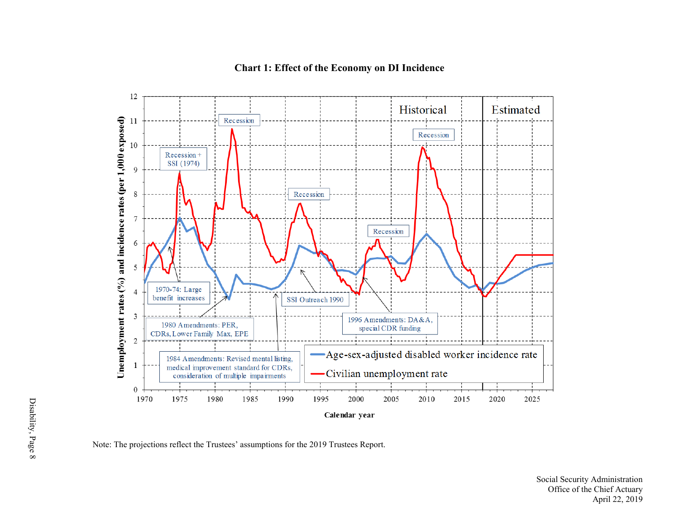<span id="page-7-0"></span>

#### **Chart 1: Effect of the Economy on DI Incidence**

Note: The projections reflect the Trustees' assumptions for the 2019 Trustees Report.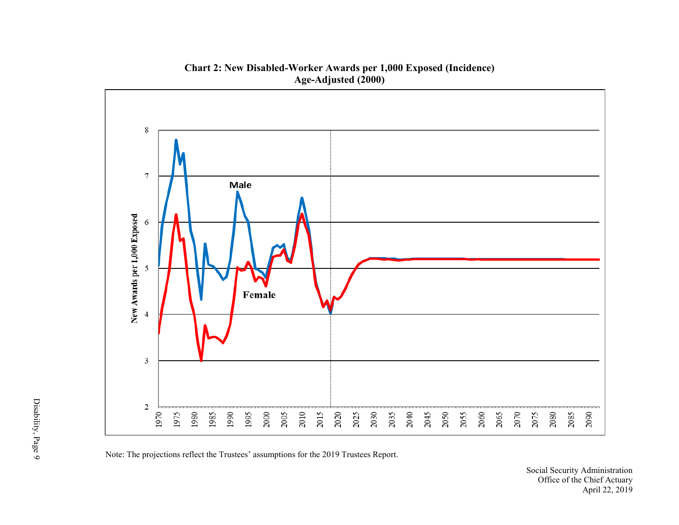<span id="page-8-0"></span>

**Chart 2: New Disabled-Worker Awards per 1,000 Exposed (Incidence) Age-Adjusted (2000)**

Note: The projections reflect the Trustees' assumptions for the 2019 Trustees Report.

Social Security Administration Office of the Chief Actuary April 22, 2019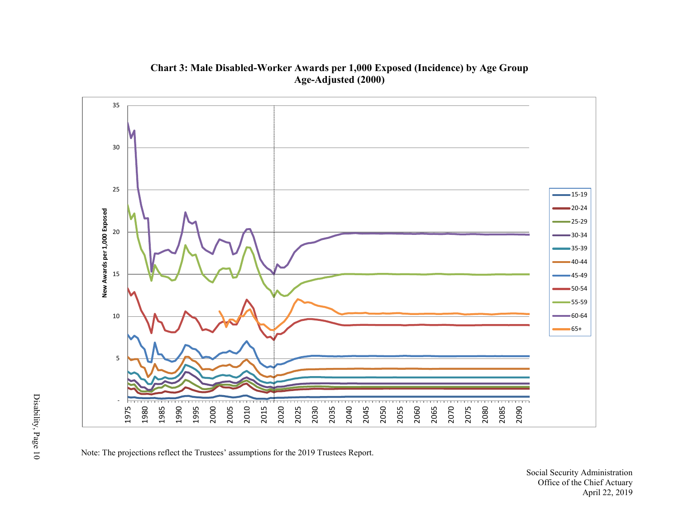<span id="page-9-0"></span>

**Chart 3: Male Disabled-Worker Awards per 1,000 Exposed (Incidence) by Age Group Age-Adjusted (2000)**

Note: The projections reflect the Trustees' assumptions for the 2019 Trustees Report.

Social Security Administration Office of the Chief Actuary April 22, 2019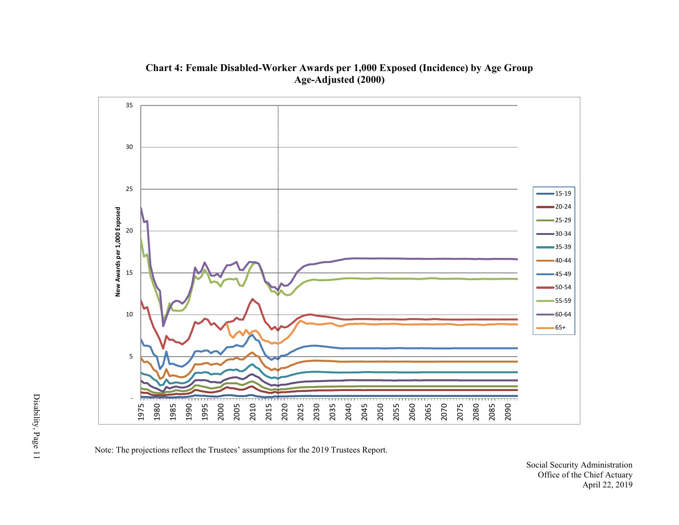<span id="page-10-0"></span>

**Chart 4: Female Disabled-Worker Awards per 1,000 Exposed (Incidence) by Age Group Age-Adjusted (2000)**

Note: The projections reflect the Trustees' assumptions for the 2019 Trustees Report.

Social Security Administration Office of the Chief Actuary April 22, 2019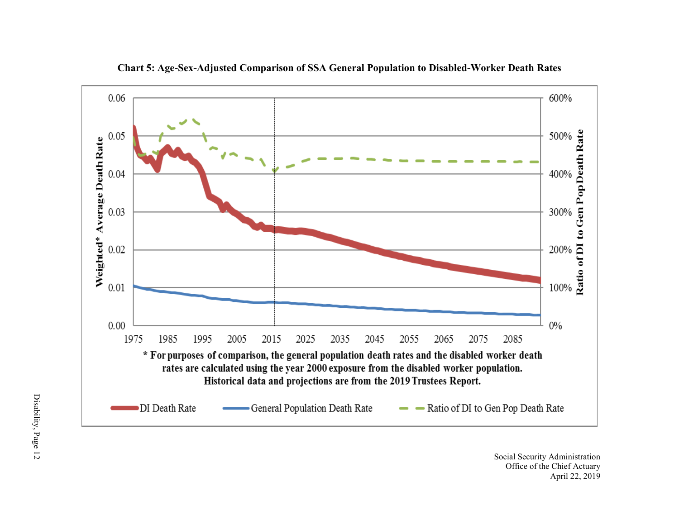<span id="page-11-0"></span>

**Chart 5: Age-Sex-Adjusted Comparison of SSA General Population to Disabled-Worker Death Rates**